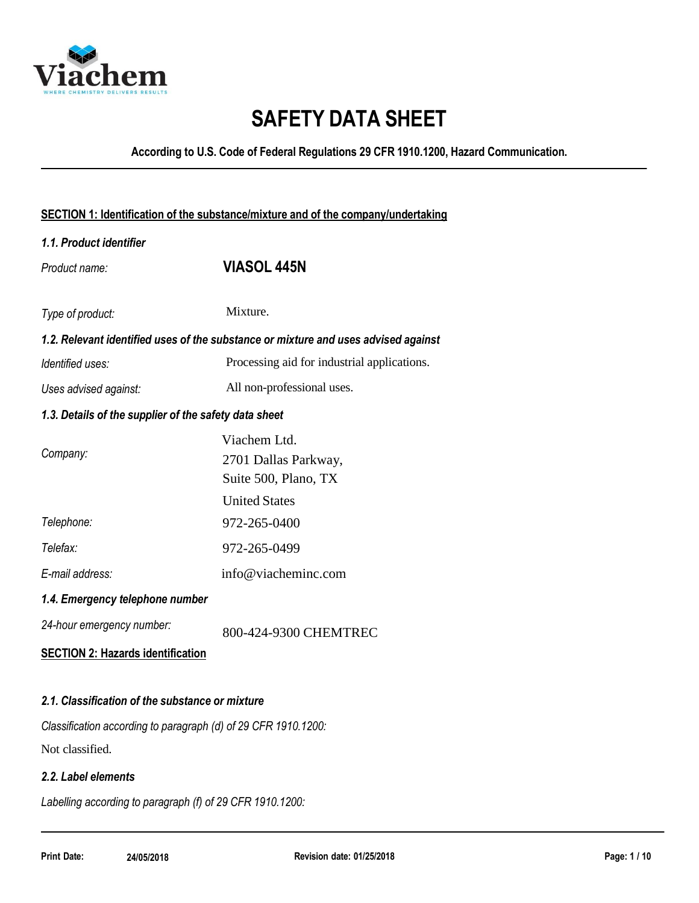

# **SAFETY DATA SHEET**

**According to U.S. Code of Federal Regulations 29 CFR 1910.1200, Hazard Communication.**

| SECTION 1: Identification of the substance/mixture and of the company/undertaking |                                                                                    |  |
|-----------------------------------------------------------------------------------|------------------------------------------------------------------------------------|--|
| 1.1. Product identifier                                                           |                                                                                    |  |
| Product name:                                                                     | <b>VIASOL 445N</b>                                                                 |  |
|                                                                                   |                                                                                    |  |
| Type of product:                                                                  | Mixture.                                                                           |  |
|                                                                                   | 1.2. Relevant identified uses of the substance or mixture and uses advised against |  |
| Identified uses:                                                                  | Processing aid for industrial applications.                                        |  |
| Uses advised against:                                                             | All non-professional uses.                                                         |  |
| 1.3. Details of the supplier of the safety data sheet                             |                                                                                    |  |
|                                                                                   | Viachem Ltd.                                                                       |  |
| Company:                                                                          | 2701 Dallas Parkway,                                                               |  |
|                                                                                   | Suite 500, Plano, TX                                                               |  |
|                                                                                   | <b>United States</b>                                                               |  |
| Telephone:                                                                        | 972-265-0400                                                                       |  |
| Telefax:                                                                          | 972-265-0499                                                                       |  |
| E-mail address:                                                                   | info@viacheminc.com                                                                |  |
| 1.4. Emergency telephone number                                                   |                                                                                    |  |
| 24-hour emergency number:                                                         | 800-424-9300 CHEMTREC                                                              |  |
| <b>SECTION 2: Hazards identification</b>                                          |                                                                                    |  |
|                                                                                   |                                                                                    |  |
| 2.1. Classification of the substance or mixture                                   |                                                                                    |  |
| Classification according to paragraph (d) of 29 CFR 1910.1200:                    |                                                                                    |  |

Not classified.

### *2.2. Label elements*

*Labelling according to paragraph (f) of 29 CFR 1910.1200:*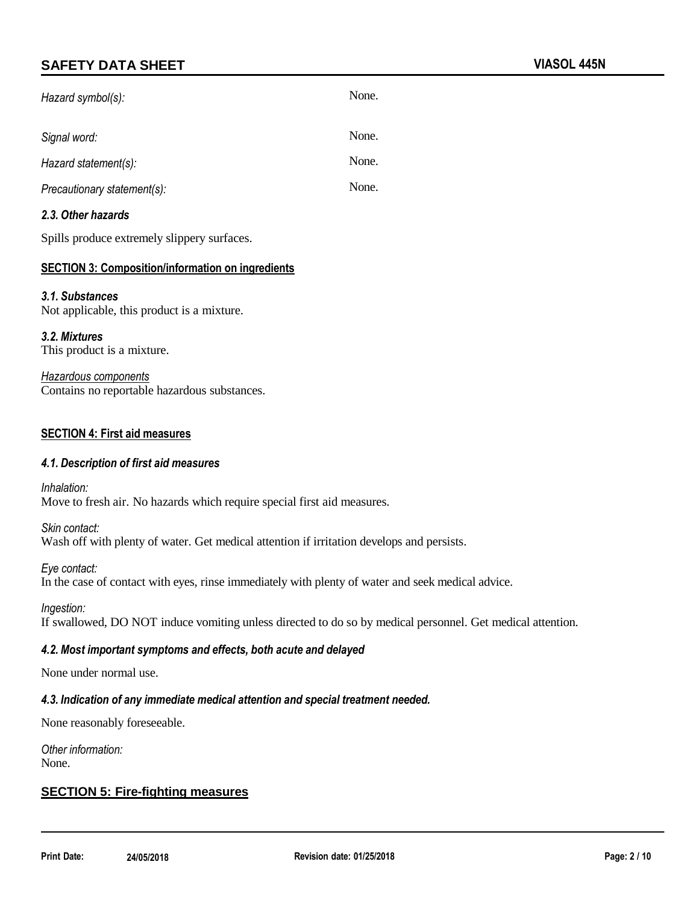| Hazard symbol(s):           | None. |
|-----------------------------|-------|
| Signal word:                | None. |
| Hazard statement(s):        | None. |
| Precautionary statement(s): | None. |

### *2.3. Other hazards*

Spills produce extremely slippery surfaces.

### **SECTION 3: Composition/information on ingredients**

#### *3.1. Substances*

Not applicable, this product is a mixture.

*3.2. Mixtures* This product is a mixture.

*Hazardous components* Contains no reportable hazardous substances.

#### **SECTION 4: First aid measures**

#### *4.1. Description of first aid measures*

*Inhalation:* Move to fresh air. No hazards which require special first aid measures.

*Skin contact:* Wash off with plenty of water. Get medical attention if irritation develops and persists.

*Eye contact:* In the case of contact with eyes, rinse immediately with plenty of water and seek medical advice.

*Ingestion:*

If swallowed, DO NOT induce vomiting unless directed to do so by medical personnel. Get medical attention.

#### *4.2. Most important symptoms and effects, both acute and delayed*

None under normal use.

#### *4.3. Indication of any immediate medical attention and special treatment needed.*

None reasonably foreseeable.

*Other information:* None.

#### **SECTION 5: Fire-fighting measures**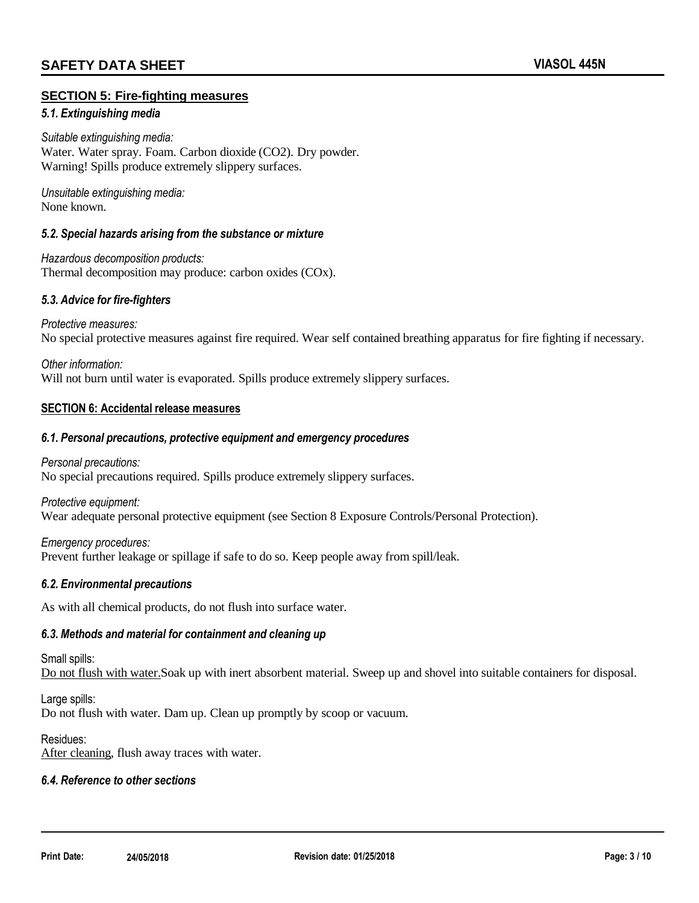#### **SECTION 5: Fire-fighting measures**

#### *5.1. Extinguishing media*

*Suitable extinguishing media:* Water. Water spray. Foam. Carbon dioxide (CO2). Dry powder. Warning! Spills produce extremely slippery surfaces.

*Unsuitable extinguishing media:* None known.

#### *5.2. Special hazards arising from the substance or mixture*

*Hazardous decomposition products:* Thermal decomposition may produce: carbon oxides (COx).

#### *5.3. Advice for fire-fighters*

*Protective measures:* No special protective measures against fire required. Wear self contained breathing apparatus for fire fighting if necessary.

*Other information:* Will not burn until water is evaporated. Spills produce extremely slippery surfaces.

#### **SECTION 6: Accidental release measures**

#### *6.1. Personal precautions, protective equipment and emergency procedures*

*Personal precautions:* No special precautions required. Spills produce extremely slippery surfaces.

*Protective equipment:* Wear adequate personal protective equipment (see Section 8 Exposure Controls/Personal Protection).

*Emergency procedures:* Prevent further leakage or spillage if safe to do so. Keep people away from spill/leak.

#### *6.2. Environmental precautions*

As with all chemical products, do not flush into surface water.

#### *6.3. Methods and material for containment and cleaning up*

#### Small spills:

Do not flush with water.Soak up with inert absorbent material. Sweep up and shovel into suitable containers for disposal.

Large spills: Do not flush with water. Dam up. Clean up promptly by scoop or vacuum.

#### Residues:

After cleaning, flush away traces with water.

#### *6.4. Reference to other sections*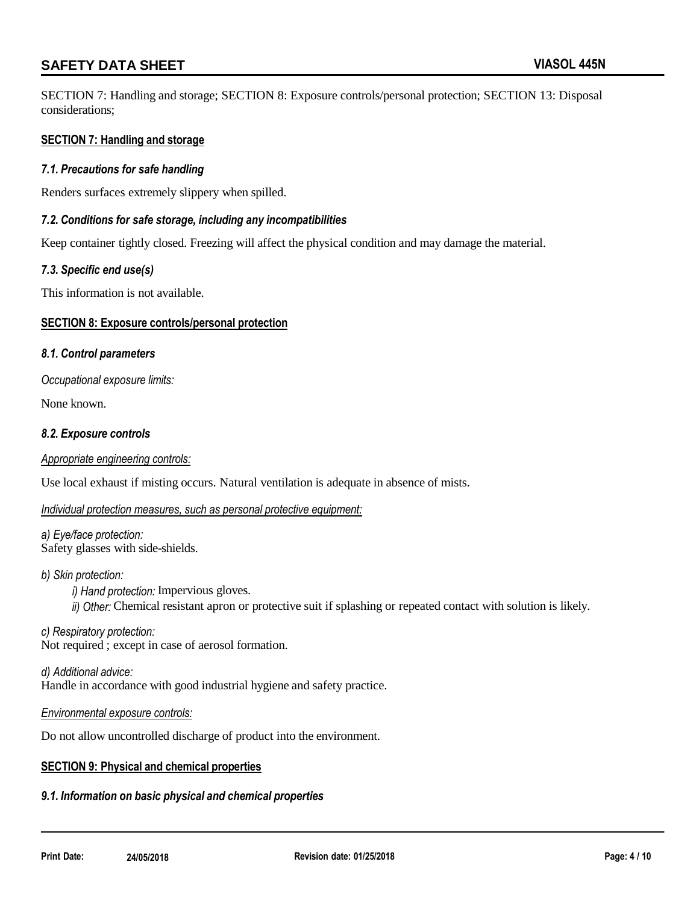SECTION 7: Handling and storage; SECTION 8: Exposure controls/personal protection; SECTION 13: Disposal considerations;

#### **SECTION 7: Handling and storage**

#### *7.1. Precautions for safe handling*

Renders surfaces extremely slippery when spilled.

#### *7.2. Conditions for safe storage, including any incompatibilities*

Keep container tightly closed. Freezing will affect the physical condition and may damage the material.

#### *7.3. Specific end use(s)*

This information is not available.

#### **SECTION 8: Exposure controls/personal protection**

#### *8.1. Control parameters*

*Occupational exposure limits:*

None known.

#### *8.2. Exposure controls*

#### *Appropriate engineering controls:*

Use local exhaust if misting occurs. Natural ventilation is adequate in absence of mists.

#### *Individual protection measures, such as personal protective equipment:*

*a) Eye/face protection:* Safety glasses with side-shields.

#### *b) Skin protection:*

*i) Hand protection:* Impervious gloves. *ii) Other:* Chemical resistant apron or protective suit if splashing or repeated contact with solution is likely.

*c) Respiratory protection:* Not required ; except in case of aerosol formation.

*d) Additional advice:* Handle in accordance with good industrial hygiene and safety practice.

#### *Environmental exposure controls:*

Do not allow uncontrolled discharge of product into the environment.

#### **SECTION 9: Physical and chemical properties**

#### *9.1. Information on basic physical and chemical properties*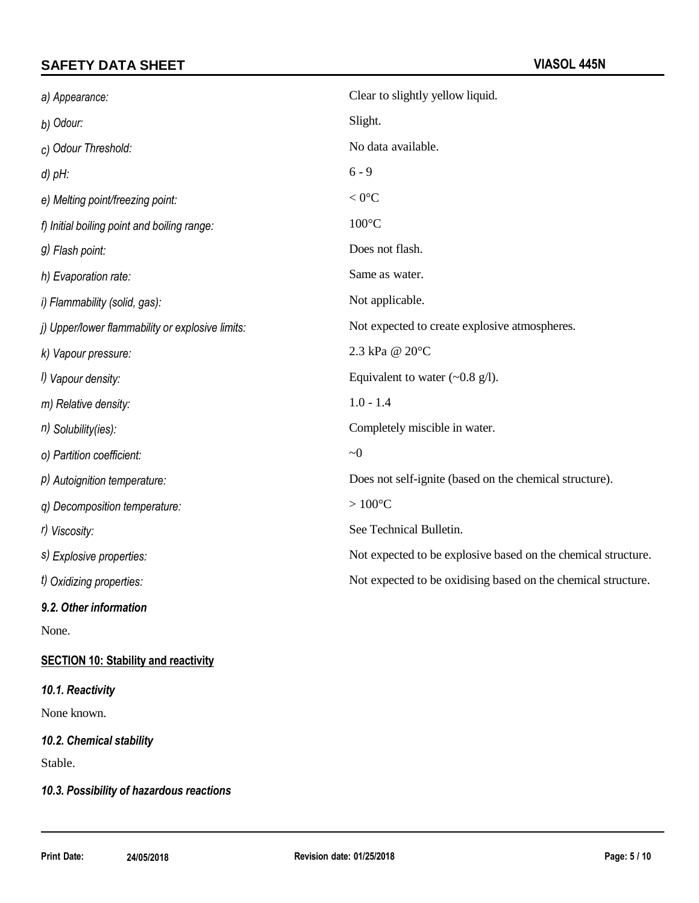| a) Appearance:                                   | Clear to slightly yellow liquid.                              |
|--------------------------------------------------|---------------------------------------------------------------|
| b) Odour:                                        | Slight.                                                       |
| c) Odour Threshold:                              | No data available.                                            |
| $d$ ) $pH$ :                                     | $6 - 9$                                                       |
| e) Melting point/freezing point:                 | $< 0$ °C                                                      |
| f) Initial boiling point and boiling range:      | $100^{\circ}$ C                                               |
| g) Flash point:                                  | Does not flash.                                               |
| h) Evaporation rate:                             | Same as water.                                                |
| i) Flammability (solid, gas):                    | Not applicable.                                               |
| j) Upper/lower flammability or explosive limits: | Not expected to create explosive atmospheres.                 |
| k) Vapour pressure:                              | 2.3 kPa @ 20°C                                                |
| I) Vapour density:                               | Equivalent to water $(\sim 0.8 \text{ g/l})$ .                |
| m) Relative density:                             | $1.0 - 1.4$                                                   |
| $n)$ Solubility(ies):                            | Completely miscible in water.                                 |
| o) Partition coefficient:                        | $\sim 0$                                                      |
| P) Autoignition temperature:                     | Does not self-ignite (based on the chemical structure).       |
| q) Decomposition temperature:                    | $>100^{\circ}$ C                                              |
| r) Viscosity:                                    | See Technical Bulletin.                                       |
| s) Explosive properties:                         | Not expected to be explosive based on the chemical structure. |
| t) Oxidizing properties:                         | Not expected to be oxidising based on the chemical structure. |
| 9.2. Other information                           |                                                               |

None.

# **SECTION 10: Stability and reactivity**

### *10.1. Reactivity*

None known.

# *10.2. Chemical stability*

Stable.

# *10.3. Possibility of hazardous reactions*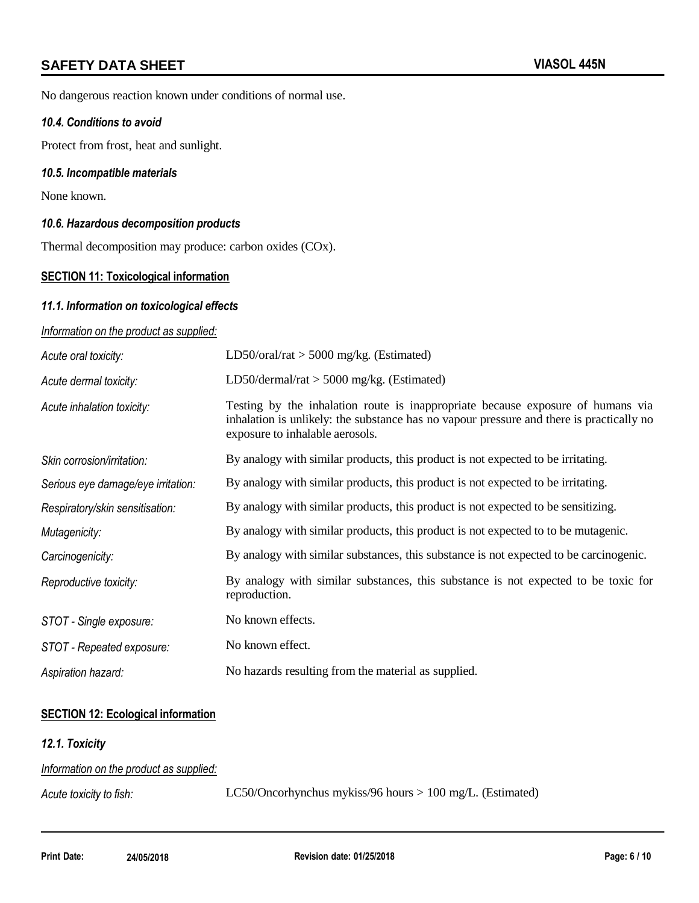No dangerous reaction known under conditions of normal use.

#### *10.4. Conditions to avoid*

Protect from frost, heat and sunlight.

#### *10.5. Incompatible materials*

None known.

#### *10.6. Hazardous decomposition products*

Thermal decomposition may produce: carbon oxides (COx).

### **SECTION 11: Toxicological information**

#### *11.1. Information on toxicological effects*

#### *Information on the product as supplied:*

| Acute oral toxicity:               | LD50/oral/rat $>$ 5000 mg/kg. (Estimated)                                                                                                                                                                      |
|------------------------------------|----------------------------------------------------------------------------------------------------------------------------------------------------------------------------------------------------------------|
| Acute dermal toxicity:             | LD50/dermal/rat $>$ 5000 mg/kg. (Estimated)                                                                                                                                                                    |
| Acute inhalation toxicity:         | Testing by the inhalation route is inappropriate because exposure of humans via<br>inhalation is unlikely: the substance has no vapour pressure and there is practically no<br>exposure to inhalable aerosols. |
| Skin corrosion/irritation:         | By analogy with similar products, this product is not expected to be irritating.                                                                                                                               |
| Serious eye damage/eye irritation: | By analogy with similar products, this product is not expected to be irritating.                                                                                                                               |
| Respiratory/skin sensitisation:    | By analogy with similar products, this product is not expected to be sensitizing.                                                                                                                              |
| Mutagenicity:                      | By analogy with similar products, this product is not expected to to be mutagenic.                                                                                                                             |
| Carcinogenicity:                   | By analogy with similar substances, this substance is not expected to be carcinogenic.                                                                                                                         |
| Reproductive toxicity:             | By analogy with similar substances, this substance is not expected to be toxic for<br>reproduction.                                                                                                            |
| STOT - Single exposure:            | No known effects.                                                                                                                                                                                              |
| STOT - Repeated exposure:          | No known effect.                                                                                                                                                                                               |
| Aspiration hazard:                 | No hazards resulting from the material as supplied.                                                                                                                                                            |

#### **SECTION 12: Ecological information**

#### *12.1. Toxicity*

| Information on the product as supplied: |                                                             |
|-----------------------------------------|-------------------------------------------------------------|
| Acute toxicity to fish:                 | LC50/Oncorhynchus mykiss/96 hours $> 100$ mg/L. (Estimated) |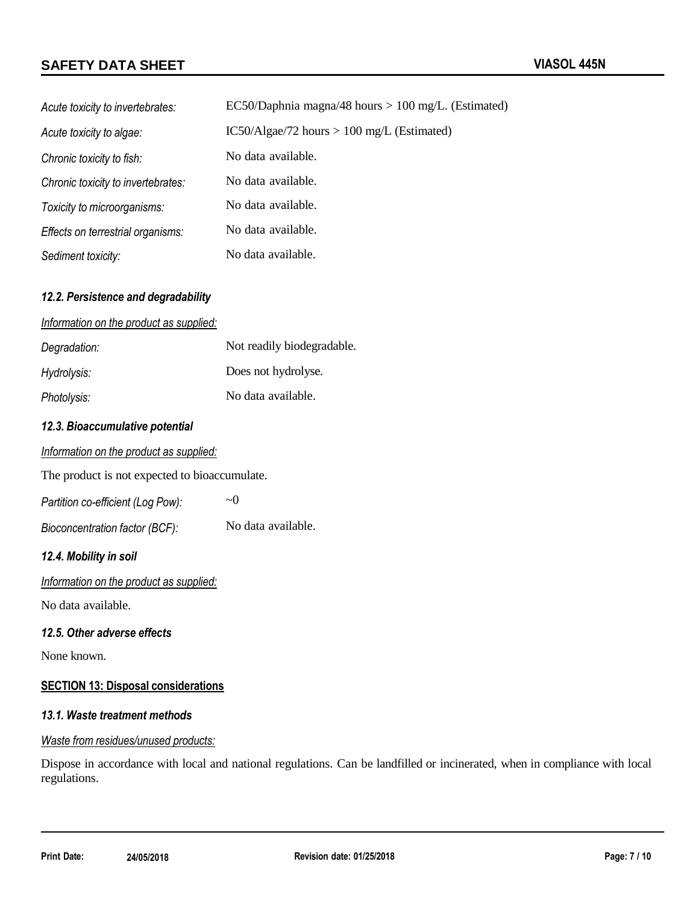| Acute toxicity to invertebrates:   | EC50/Daphnia magna/48 hours $> 100$ mg/L. (Estimated) |
|------------------------------------|-------------------------------------------------------|
| Acute toxicity to algae:           | $IC50/Algae/72 hours > 100 mg/L$ (Estimated)          |
| Chronic toxicity to fish:          | No data available.                                    |
| Chronic toxicity to invertebrates: | No data available.                                    |
| Toxicity to microorganisms:        | No data available.                                    |
| Effects on terrestrial organisms:  | No data available.                                    |
| Sediment toxicity:                 | No data available.                                    |

#### *12.2. Persistence and degradability*

#### *Information on the product as supplied:*

| Degradation: | Not readily biodegradable. |
|--------------|----------------------------|
| Hydrolysis:  | Does not hydrolyse.        |
| Photolysis:  | No data available.         |

### *12.3. Bioaccumulative potential*

|  | Information on the product as supplied: |  |  |  |
|--|-----------------------------------------|--|--|--|
|--|-----------------------------------------|--|--|--|

The product is not expected to bioaccumulate.

| Partition co-efficient (Log Pow): | $\sim$ ()          |
|-----------------------------------|--------------------|
| Bioconcentration factor (BCF):    | No data available. |

#### *12.4. Mobility in soil*

*Information on the product as supplied:*

No data available.

#### *12.5. Other adverse effects*

None known.

### **SECTION 13: Disposal considerations**

### *13.1. Waste treatment methods*

#### *Waste from residues/unused products:*

Dispose in accordance with local and national regulations. Can be landfilled or incinerated, when in compliance with local regulations.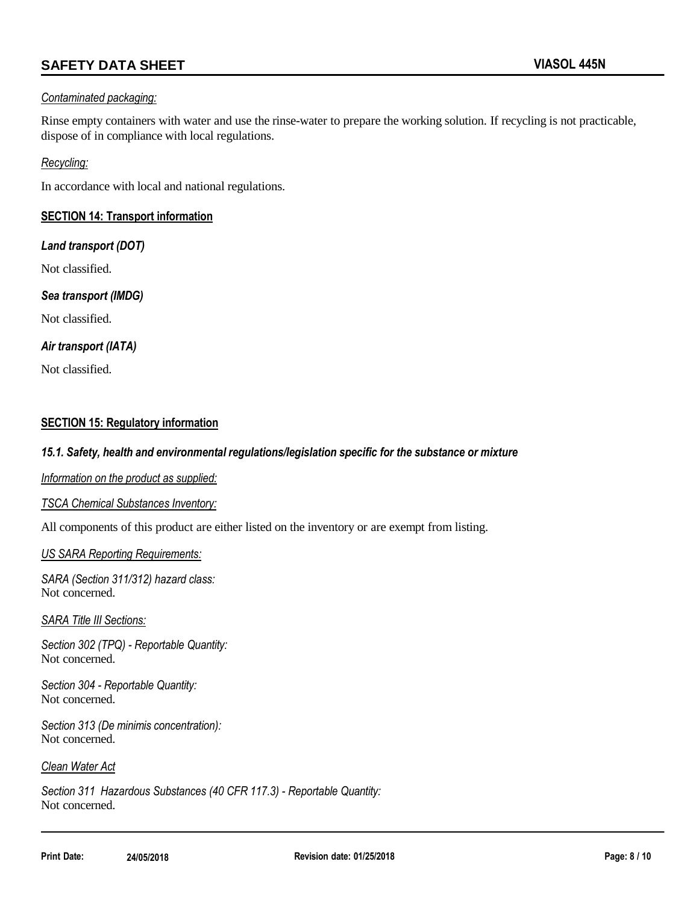#### *Contaminated packaging:*

Rinse empty containers with water and use the rinse-water to prepare the working solution. If recycling is not practicable, dispose of in compliance with local regulations.

#### *Recycling:*

In accordance with local and national regulations.

#### **SECTION 14: Transport information**

#### *Land transport (DOT)*

Not classified.

#### *Sea transport (IMDG)*

Not classified.

#### *Air transport (IATA)*

Not classified.

### **SECTION 15: Regulatory information**

#### *15.1. Safety, health and environmental regulations/legislation specific for the substance or mixture*

*Information on the product as supplied:*

#### *TSCA Chemical Substances Inventory:*

All components of this product are either listed on the inventory or are exempt from listing.

#### *US SARA Reporting Requirements:*

*SARA (Section 311/312) hazard class:* Not concerned.

#### *SARA Title III Sections:*

*Section 302 (TPQ) - Reportable Quantity:* Not concerned.

*Section 304 - Reportable Quantity:* Not concerned.

*Section 313 (De minimis concentration):* Not concerned.

#### *Clean Water Act*

*Section 311 Hazardous Substances (40 CFR 117.3) - Reportable Quantity:* Not concerned.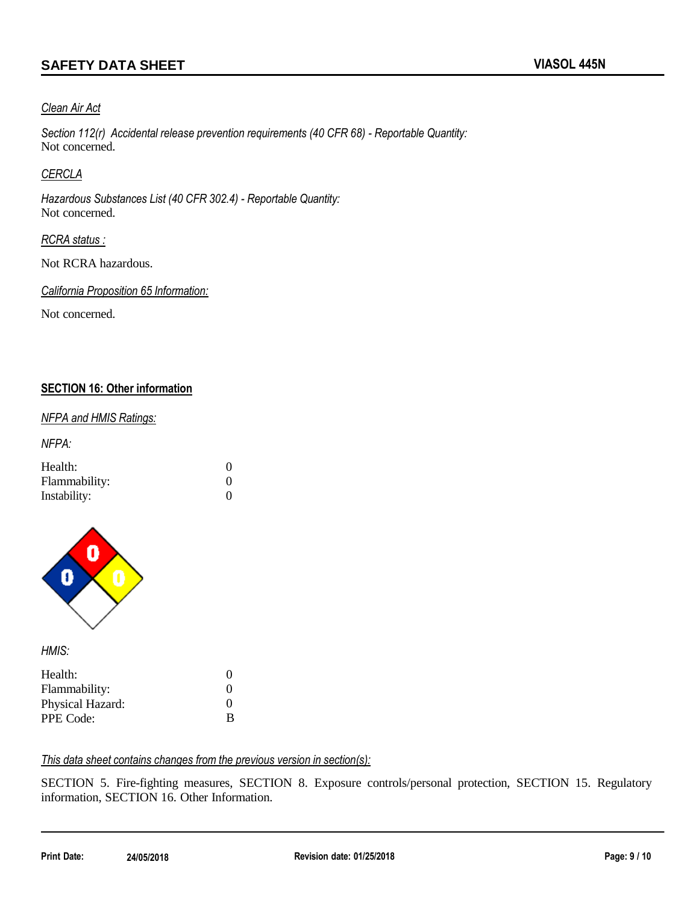#### *Clean Air Act*

*Section 112(r) Accidental release prevention requirements (40 CFR 68) - Reportable Quantity:* Not concerned.

#### *CERCLA*

*Hazardous Substances List (40 CFR 302.4) - Reportable Quantity:* Not concerned.

#### *RCRA status :*

Not RCRA hazardous.

*California Proposition 65 Information:*

Not concerned.

#### **SECTION 16: Other information**

#### *NFPA and HMIS Ratings:*

*NFPA:*

| Health:       |          |
|---------------|----------|
| Flammability: |          |
| Instability:  | $\Omega$ |



*HMIS:*

| Health:          | $\Omega$ |
|------------------|----------|
| Flammability:    | $\Omega$ |
| Physical Hazard: | $\Omega$ |
| PPE Code:        | B        |

### *This data sheet contains changes from the previous version in section(s):*

SECTION 5. Fire-fighting measures, SECTION 8. Exposure controls/personal protection, SECTION 15. Regulatory information, SECTION 16. Other Information.